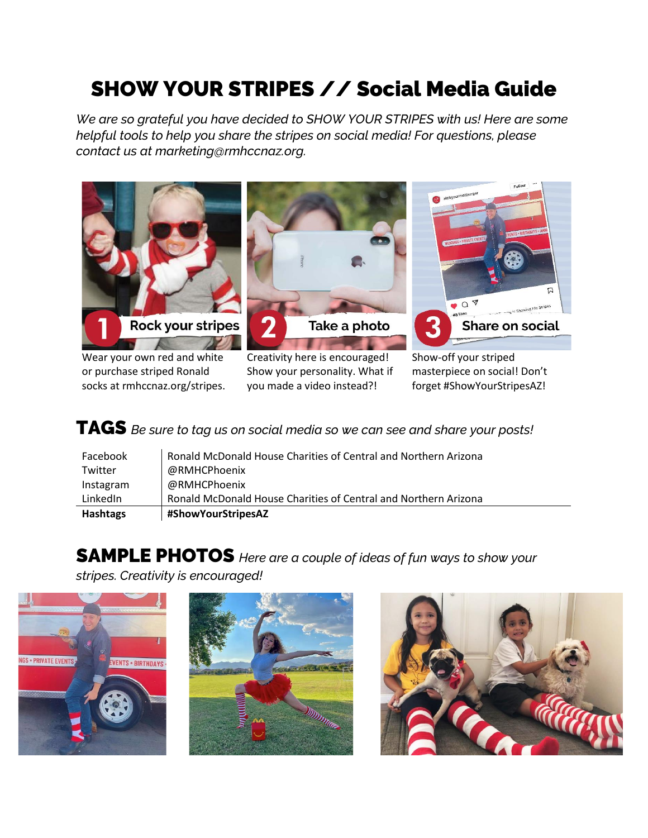## SHOW YOUR STRIPES // Social Media Guide

*We are so grateful you have decided to SHOW YOUR STRIPES with us! Here are some helpful tools to help you share the stripes on social media! For questions, please contact us at marketing@rmhccnaz.org.*



or purchase striped Ronald socks at rmhccnaz.org/stripes. Show your personality. What if you made a video instead?!

masterpiece on social! Don't forget #ShowYourStripesAZ!

TAGS *Be sure to tag us on social media so we can see and share your posts!*

| Facebook  | Ronald McDonald House Charities of Central and Northern Arizona |
|-----------|-----------------------------------------------------------------|
| Twitter   | @RMHCPhoenix                                                    |
| Instagram | @RMHCPhoenix                                                    |
| LinkedIn  | Ronald McDonald House Charities of Central and Northern Arizona |
| Hashtags  | #ShowYourStripesAZ                                              |

## SAMPLE PHOTOS *Here are a couple of ideas of fun ways to show your*

*stripes. Creativity is encouraged!*